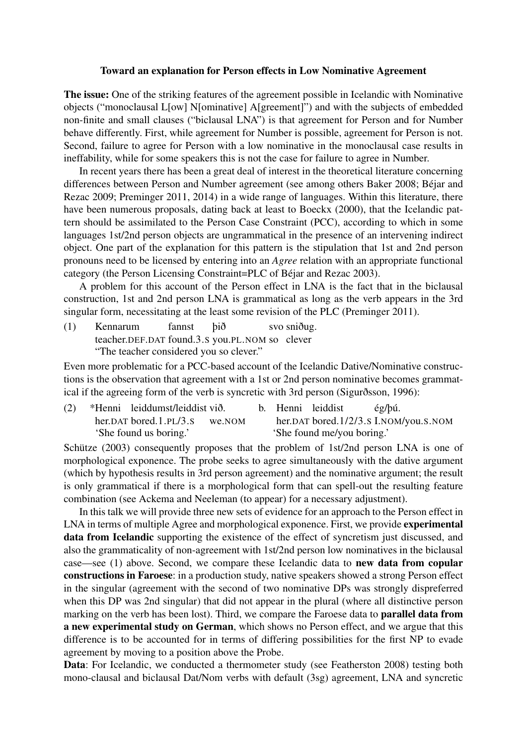## Toward an explanation for Person effects in Low Nominative Agreement

The issue: One of the striking features of the agreement possible in Icelandic with Nominative objects ("monoclausal L[ow] N[ominative] A[greement]") and with the subjects of embedded non-finite and small clauses ("biclausal LNA") is that agreement for Person and for Number behave differently. First, while agreement for Number is possible, agreement for Person is not. Second, failure to agree for Person with a low nominative in the monoclausal case results in ineffability, while for some speakers this is not the case for failure to agree in Number.

In recent years there has been a great deal of interest in the theoretical literature concerning differences between Person and Number agreement (see among others Baker 2008; Béjar and Rezac 2009; Preminger 2011, 2014) in a wide range of languages. Within this literature, there have been numerous proposals, dating back at least to Boeckx (2000), that the Icelandic pattern should be assimilated to the Person Case Constraint (PCC), according to which in some languages 1st/2nd person objects are ungrammatical in the presence of an intervening indirect object. One part of the explanation for this pattern is the stipulation that 1st and 2nd person pronouns need to be licensed by entering into an *Agree* relation with an appropriate functional category (the Person Licensing Constraint=PLC of Béjar and Rezac 2003).

A problem for this account of the Person effect in LNA is the fact that in the biclausal construction, 1st and 2nd person LNA is grammatical as long as the verb appears in the 3rd singular form, necessitating at the least some revision of the PLC (Preminger 2011).

(1) Kennarum teacher.DEF.DAT found.3.S you.PL.NOM so clever fannst þið svo sniðug. "The teacher considered you so clever."

Even more problematic for a PCC-based account of the Icelandic Dative/Nominative constructions is the observation that agreement with a 1st or 2nd person nominative becomes grammatical if the agreeing form of the verb is syncretic with 3rd person (Sigurðsson, 1996):

| (2) | *Henni leiddumst/leiddist við. |        |                            | b. Henni leiddist | $\frac{\mathrm{e}}{\mathrm{e}}$ /bú.  |
|-----|--------------------------------|--------|----------------------------|-------------------|---------------------------------------|
|     | her.DAT bored.1. $PL/3.S$      | we.NOM |                            |                   | her.DAT bored.1/2/3.s I.NOM/you.S.NOM |
|     | 'She found us boring.'         |        | 'She found me/you boring.' |                   |                                       |

Schütze (2003) consequently proposes that the problem of 1st/2nd person LNA is one of morphological exponence. The probe seeks to agree simultaneously with the dative argument (which by hypothesis results in 3rd person agreement) and the nominative argument; the result is only grammatical if there is a morphological form that can spell-out the resulting feature combination (see Ackema and Neeleman (to appear) for a necessary adjustment).

In this talk we will provide three new sets of evidence for an approach to the Person effect in LNA in terms of multiple Agree and morphological exponence. First, we provide experimental data from Icelandic supporting the existence of the effect of syncretism just discussed, and also the grammaticality of non-agreement with 1st/2nd person low nominatives in the biclausal case—see (1) above. Second, we compare these Icelandic data to new data from copular constructions in Faroese: in a production study, native speakers showed a strong Person effect in the singular (agreement with the second of two nominative DPs was strongly dispreferred when this DP was 2nd singular) that did not appear in the plural (where all distinctive person marking on the verb has been lost). Third, we compare the Faroese data to parallel data from a new experimental study on German, which shows no Person effect, and we argue that this difference is to be accounted for in terms of differing possibilities for the first NP to evade agreement by moving to a position above the Probe.

Data: For Icelandic, we conducted a thermometer study (see Featherston 2008) testing both mono-clausal and biclausal Dat/Nom verbs with default (3sg) agreement, LNA and syncretic